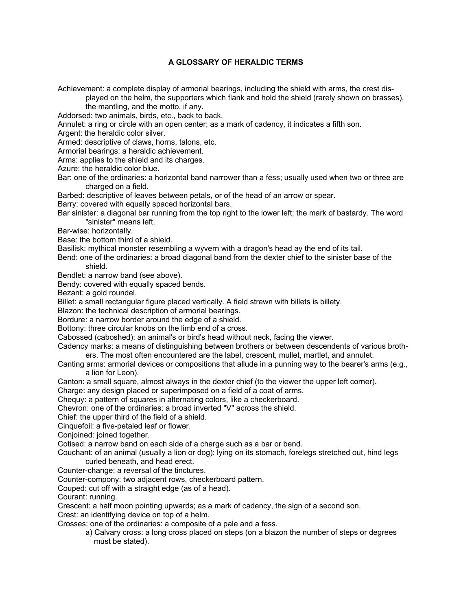## **A GLOSSARY OF HERALDIC TERMS**

Achievement: a complete display of armorial bearings, including the shield with arms, the crest dis-

played on the helm, the supporters which flank and hold the shield (rarely shown on brasses),

 the mantling, and the motto, if any. Addorsed: two animals, birds, etc., back to back.

Annulet: a ring or circle with an open center; as a mark of cadency, it indicates a fifth son.

Argent: the heraldic color silver.

Armed: descriptive of claws, horns, talons, etc.

Armorial bearings: a heraldic achievement.

Arms: applies to the shield and its charges.

Azure: the heraldic color blue.

Bar: one of the ordinaries: a horizontal band narrower than a fess; usually used when two or three are charged on a field.

Barbed: descriptive of leaves between petals, or of the head of an arrow or spear.

Barry: covered with equally spaced horizontal bars.

Bar sinister: a diagonal bar running from the top right to the lower left; the mark of bastardy. The word "sinister" means left.

Bar-wise: horizontally.

Base: the bottom third of a shield.

Basilisk: mythical monster resembling a wyvern with a dragon's head ay the end of its tail.

Bend: one of the ordinaries: a broad diagonal band from the dexter chief to the sinister base of the shield.

Bendlet: a narrow band (see above).

Bendy: covered with equally spaced bends.

Bezant: a gold roundel.

Billet: a small rectangular figure placed vertically. A field strewn with billets is billety.

Blazon: the technical description of armorial bearings.

Bordure: a narrow border around the edge of a shield.

Bottony: three circular knobs on the limb end of a cross.

Cabossed (caboshed): an animal's or bird's head without neck, facing the viewer.

Cadency marks: a means of distinguishing between brothers or between descendents of various broth ers. The most often encountered are the label, crescent, mullet, martlet, and annulet.

Canting arms: armorial devices or compositions that allude in a punning way to the bearer's arms (e.g., a lion for Leon).

Canton: a small square, almost always in the dexter chief (to the viewer the upper left corner).

Charge: any design placed or superimposed on a field of a coat of arms.

Chequy: a pattern of squares in alternating colors, like a checkerboard.

Chevron: one of the ordinaries: a broad inverted "V" across the shield.

Chief: the upper third of the field of a shield.

Cinquefoil: a five-petaled leaf or flower.

Conjoined: joined together.

Cotised: a narrow band on each side of a charge such as a bar or bend.

Couchant: of an animal (usually a lion or dog): lying on its stomach, forelegs stretched out, hind legs curled beneath, and head erect.

Counter-change: a reversal of the tinctures.

Counter-compony: two adjacent rows, checkerboard pattern.

Couped: cut off with a straight edge (as of a head).

Courant: running.

Crescent: a half moon pointing upwards; as a mark of cadency, the sign of a second son.

Crest: an identifying device on top of a helm.

Crosses: one of the ordinaries: a composite of a pale and a fess.

a) Calvary cross: a long cross placed on steps (on a blazon the number of steps or degrees must be stated).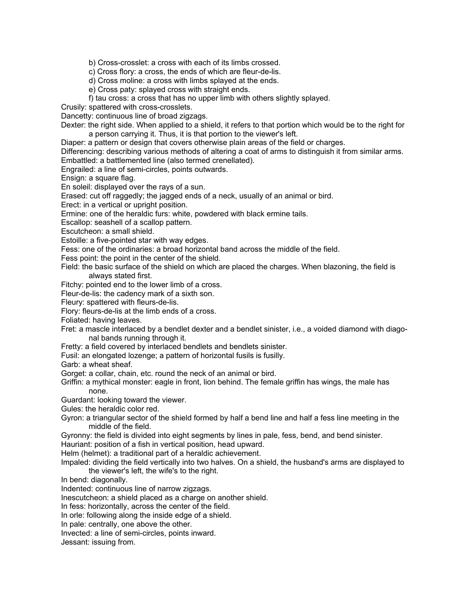b) Cross-crosslet: a cross with each of its limbs crossed.

c) Cross flory: a cross, the ends of which are fleur-de-lis.

d) Cross moline: a cross with limbs splayed at the ends.

e) Cross paty: splayed cross with straight ends.

f) tau cross: a cross that has no upper limb with others slightly splayed.

Crusily: spattered with cross-crosslets.

Dancetty: continuous line of broad zigzags.

Dexter: the right side. When applied to a shield, it refers to that portion which would be to the right for a person carrying it. Thus, it is that portion to the viewer's left.

Diaper: a pattern or design that covers otherwise plain areas of the field or charges.

Differencing: describing various methods of altering a coat of arms to distinguish it from similar arms. Embattled: a battlemented line (also termed crenellated).

Engrailed: a line of semi-circles, points outwards.

Ensign: a square flag.

En soleil: displayed over the rays of a sun.

Erased: cut off raggedly; the jagged ends of a neck, usually of an animal or bird.

Erect: in a vertical or upright position.

Ermine: one of the heraldic furs: white, powdered with black ermine tails.

Escallop: seashell of a scallop pattern.

Escutcheon: a small shield.

Estoille: a five-pointed star with way edges.

Fess: one of the ordinaries: a broad horizontal band across the middle of the field.

Fess point: the point in the center of the shield.

Field: the basic surface of the shield on which are placed the charges. When blazoning, the field is always stated first.

Fitchy: pointed end to the lower limb of a cross.

Fleur-de-lis: the cadency mark of a sixth son.

Fleury: spattered with fleurs-de-lis.

Flory: fleurs-de-lis at the limb ends of a cross.

Foliated: having leaves.

Fret: a mascle interlaced by a bendlet dexter and a bendlet sinister, i.e., a voided diamond with diago nal bands running through it.

Fretty: a field covered by interlaced bendlets and bendlets sinister.

Fusil: an elongated lozenge; a pattern of horizontal fusils is fusilly.

Garb: a wheat sheaf.

Gorget: a collar, chain, etc. round the neck of an animal or bird.

Griffin: a mythical monster: eagle in front, lion behind. The female griffin has wings, the male has none.

Guardant: looking toward the viewer.

Gules: the heraldic color red.

Gyron: a triangular sector of the shield formed by half a bend line and half a fess line meeting in the middle of the field.

Gyronny: the field is divided into eight segments by lines in pale, fess, bend, and bend sinister.

Hauriant: position of a fish in vertical position, head upward.

Helm (helmet): a traditional part of a heraldic achievement.

Impaled: dividing the field vertically into two halves. On a shield, the husband's arms are displayed to the viewer's left, the wife's to the right.

In bend: diagonally.

Indented: continuous line of narrow zigzags.

Inescutcheon: a shield placed as a charge on another shield.

In fess: horizontally, across the center of the field.

In orle: following along the inside edge of a shield.

In pale: centrally, one above the other.

Invected: a line of semi-circles, points inward.

Jessant: issuing from.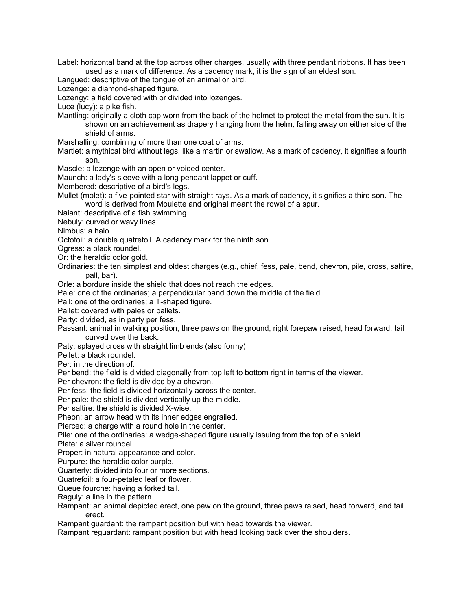Label: horizontal band at the top across other charges, usually with three pendant ribbons. It has been used as a mark of difference. As a cadency mark, it is the sign of an eldest son.

Langued: descriptive of the tongue of an animal or bird.

Lozenge: a diamond-shaped figure.

Lozengy: a field covered with or divided into lozenges.

Luce (lucy): a pike fish.

Mantling: originally a cloth cap worn from the back of the helmet to protect the metal from the sun. It is shown on an achievement as drapery hanging from the helm, falling away on either side of the shield of arms.

Marshalling: combining of more than one coat of arms.

Martlet: a mythical bird without legs, like a martin or swallow. As a mark of cadency, it signifies a fourth son.

Mascle: a lozenge with an open or voided center.

Maunch: a lady's sleeve with a long pendant lappet or cuff.

Membered: descriptive of a bird's legs.

Mullet (molet): a five-pointed star with straight rays. As a mark of cadency, it signifies a third son. The word is derived from Moulette and original meant the rowel of a spur.

Naiant: descriptive of a fish swimming.

Nebuly: curved or wavy lines.

Nimbus: a halo.

Octofoil: a double quatrefoil. A cadency mark for the ninth son.

Ogress: a black roundel.

Or: the heraldic color gold.

Ordinaries: the ten simplest and oldest charges (e.g., chief, fess, pale, bend, chevron, pile, cross, saltire, pall, bar).

Orle: a bordure inside the shield that does not reach the edges.

Pale: one of the ordinaries; a perpendicular band down the middle of the field.

Pall: one of the ordinaries; a T-shaped figure.

Pallet: covered with pales or pallets.

Party: divided, as in party per fess.

Passant: animal in walking position, three paws on the ground, right forepaw raised, head forward, tail curved over the back.

Paty: splayed cross with straight limb ends (also formy)

Pellet: a black roundel.

Per: in the direction of.

Per bend: the field is divided diagonally from top left to bottom right in terms of the viewer.

Per chevron: the field is divided by a chevron.

Per fess: the field is divided horizontally across the center.

Per pale: the shield is divided vertically up the middle.

Per saltire: the shield is divided X-wise.

Pheon: an arrow head with its inner edges engrailed.

Pierced: a charge with a round hole in the center.

Pile: one of the ordinaries: a wedge-shaped figure usually issuing from the top of a shield.

Plate: a silver roundel.

Proper: in natural appearance and color.

Purpure: the heraldic color purple.

Quarterly: divided into four or more sections.

Quatrefoil: a four-petaled leaf or flower.

Queue fourche: having a forked tail.

Raguly: a line in the pattern.

Rampant: an animal depicted erect, one paw on the ground, three paws raised, head forward, and tail erect.

Rampant guardant: the rampant position but with head towards the viewer.

Rampant reguardant: rampant position but with head looking back over the shoulders.